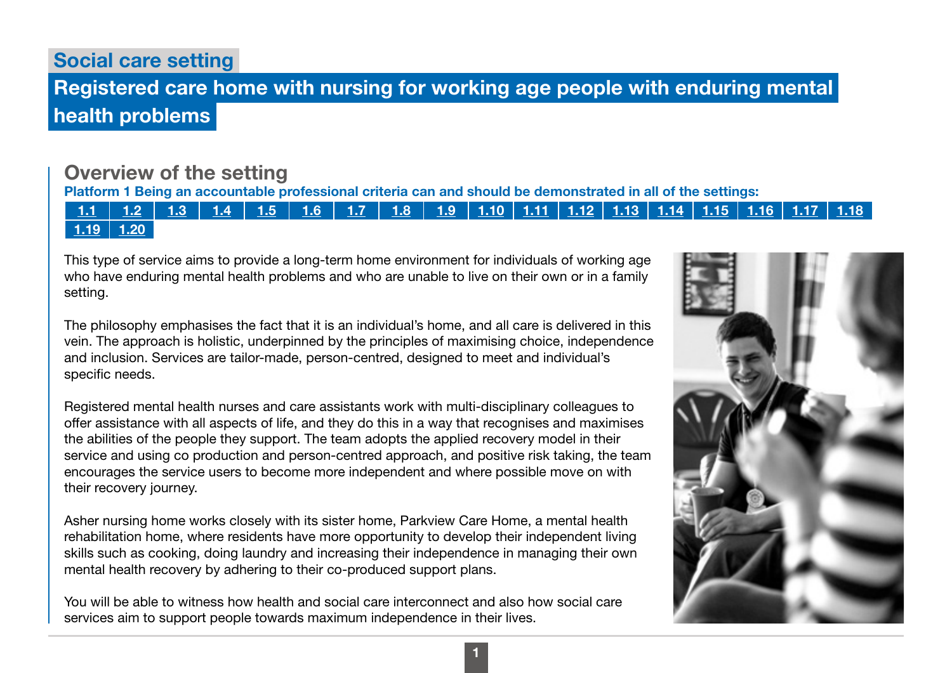# Social care setting

# Registered care home with nursing for working age people with enduring mental health problems

# Overview of the setting

Platform 1 Being an accountable professional criteria can and should be demonstrated in all of the settings:

### [1.1](https://www.skillsforcare.org.uk/Documents/Learning-and-development/Regulated-professionals/Registered-nurses/Future-nursing-proficiencies/future-nurse-proficiencies.pdf#page=8) | [1.2](https://www.skillsforcare.org.uk/Documents/Learning-and-development/Regulated-professionals/Registered-nurses/Future-nursing-proficiencies/future-nurse-proficiencies.pdf#page=8) | [1.3](https://www.skillsforcare.org.uk/Documents/Learning-and-development/Regulated-professionals/Registered-nurses/Future-nursing-proficiencies/future-nurse-proficiencies.pdf#page=8) | [1.4](https://www.skillsforcare.org.uk/Documents/Learning-and-development/Regulated-professionals/Registered-nurses/Future-nursing-proficiencies/future-nurse-proficiencies.pdf#page=8) | [1.5](https://www.skillsforcare.org.uk/Documents/Learning-and-development/Regulated-professionals/Registered-nurses/Future-nursing-proficiencies/future-nurse-proficiencies.pdf#page=8) | [1.6](https://www.skillsforcare.org.uk/Documents/Learning-and-development/Regulated-professionals/Registered-nurses/Future-nursing-proficiencies/future-nurse-proficiencies.pdf#page=8) | [1.7](https://www.skillsforcare.org.uk/Documents/Learning-and-development/Regulated-professionals/Registered-nurses/Future-nursing-proficiencies/future-nurse-proficiencies.pdf#page=8) | [1.8](https://www.skillsforcare.org.uk/Documents/Learning-and-development/Regulated-professionals/Registered-nurses/Future-nursing-proficiencies/future-nurse-proficiencies.pdf#page=8) | [1.9](https://www.skillsforcare.org.uk/Documents/Learning-and-development/Regulated-professionals/Registered-nurses/Future-nursing-proficiencies/future-nurse-proficiencies.pdf#page=8) | [1.10](https://www.skillsforcare.org.uk/Documents/Learning-and-development/Regulated-professionals/Registered-nurses/Future-nursing-proficiencies/future-nurse-proficiencies.pdf#page=9) | [1.11](https://www.skillsforcare.org.uk/Documents/Learning-and-development/Regulated-professionals/Registered-nurses/Future-nursing-proficiencies/future-nurse-proficiencies.pdf#page=9) | [1.12](https://www.skillsforcare.org.uk/Documents/Learning-and-development/Regulated-professionals/Registered-nurses/Future-nursing-proficiencies/future-nurse-proficiencies.pdf#page=9) | [1.13](https://www.skillsforcare.org.uk/Documents/Learning-and-development/Regulated-professionals/Registered-nurses/Future-nursing-proficiencies/future-nurse-proficiencies.pdf#page=9) | [1.14](https://www.skillsforcare.org.uk/Documents/Learning-and-development/Regulated-professionals/Registered-nurses/Future-nursing-proficiencies/future-nurse-proficiencies.pdf#page=9) | [1.15](https://www.skillsforcare.org.uk/Documents/Learning-and-development/Regulated-professionals/Registered-nurses/Future-nursing-proficiencies/future-nurse-proficiencies.pdf#page=9) | [1.16](https://www.skillsforcare.org.uk/Documents/Learning-and-development/Regulated-professionals/Registered-nurses/Future-nursing-proficiencies/future-nurse-proficiencies.pdf#page=9)  $1.19$  | [1.20](https://www.skillsforcare.org.uk/Documents/Learning-and-development/Regulated-professionals/Registered-nurses/Future-nursing-proficiencies/future-nurse-proficiencies.pdf#page=9)

This type of service aims to provide a long-term home environment for individuals of working age who have enduring mental health problems and who are unable to live on their own or in a family setting.

The philosophy emphasises the fact that it is an individual's home, and all care is delivered in this vein. The approach is holistic, underpinned by the principles of maximising choice, independence and inclusion. Services are tailor-made, person-centred, designed to meet and individual's specific needs.

Registered mental health nurses and care assistants work with multi-disciplinary colleagues to offer assistance with all aspects of life, and they do this in a way that recognises and maximises the abilities of the people they support. The team adopts the applied recovery model in their service and using co production and person-centred approach, and positive risk taking, the team encourages the service users to become more independent and where possible move on with their recovery journey.

Asher nursing home works closely with its sister home, Parkview Care Home, a mental health rehabilitation home, where residents have more opportunity to develop their independent living skills such as cooking, doing laundry and increasing their independence in managing their own mental health recovery by adhering to their co-produced support plans.

You will be able to witness how health and social care interconnect and also how social care services aim to support people towards maximum independence in their lives.

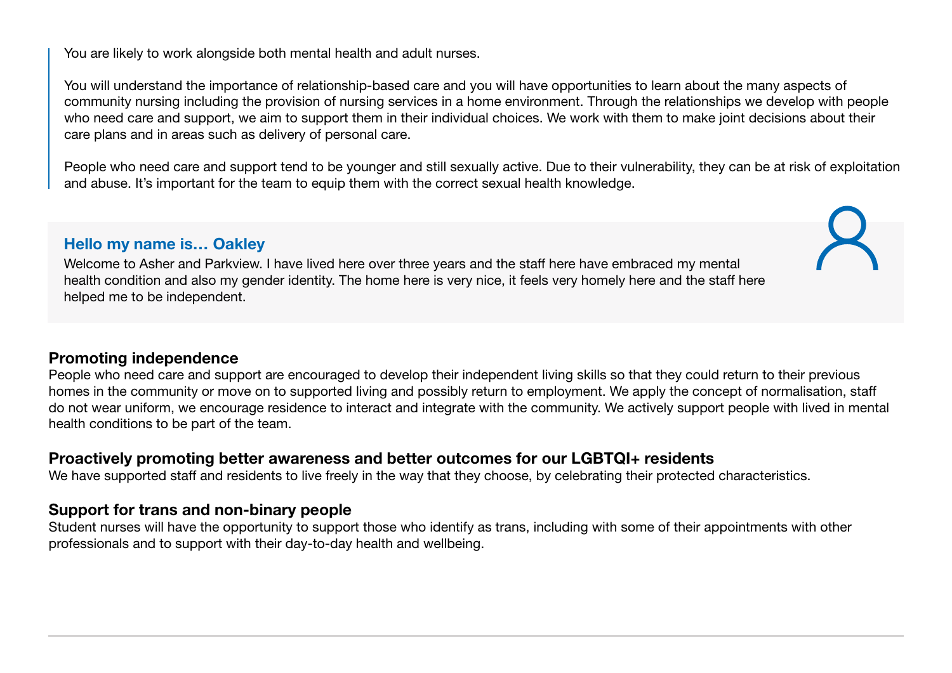You are likely to work alongside both mental health and adult nurses.

You will understand the importance of relationship-based care and you will have opportunities to learn about the many aspects of community nursing including the provision of nursing services in a home environment. Through the relationships we develop with people who need care and support, we aim to support them in their individual choices. We work with them to make joint decisions about their care plans and in areas such as delivery of personal care.

People who need care and support tend to be younger and still sexually active. Due to their vulnerability, they can be at risk of exploitation and abuse. It's important for the team to equip them with the correct sexual health knowledge.

### Hello my name is… Oakley

Welcome to Asher and Parkview. I have lived here over three years and the staff here have embraced my mental health condition and also my gender identity. The home here is very nice, it feels very homely here and the staff here helped me to be independent.

### Promoting independence

People who need care and support are encouraged to develop their independent living skills so that they could return to their previous homes in the community or move on to supported living and possibly return to employment. We apply the concept of normalisation, staff do not wear uniform, we encourage residence to interact and integrate with the community. We actively support people with lived in mental health conditions to be part of the team.

### Proactively promoting better awareness and better outcomes for our LGBTQI+ residents

We have supported staff and residents to live freely in the way that they choose, by celebrating their protected characteristics.

## Support for trans and non-binary people

Student nurses will have the opportunity to support those who identify as trans, including with some of their appointments with other professionals and to support with their day-to-day health and wellbeing.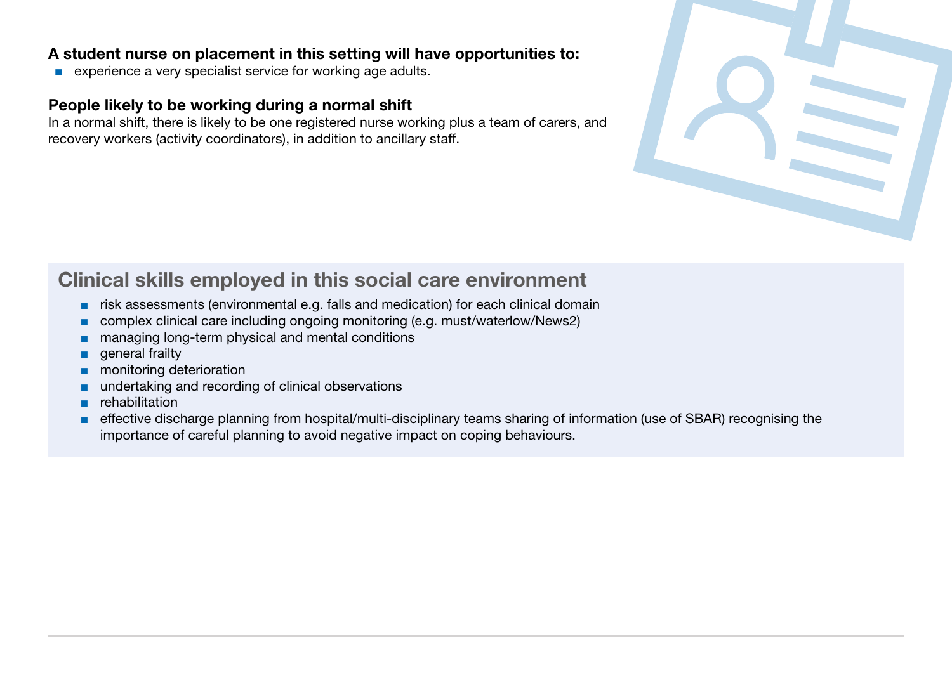### A student nurse on placement in this setting will have opportunities to:

■ experience a very specialist service for working age adults.

# People likely to be working during a normal shift

In a normal shift, there is likely to be one registered nurse working plus a team of carers, and recovery workers (activity coordinators), in addition to ancillary staff.



# Clinical skills employed in this social care environment

- risk assessments (environmental e.g. falls and medication) for each clinical domain
- complex clinical care including ongoing monitoring (e.g. must/waterlow/News2)
- managing long-term physical and mental conditions
- general frailty
- monitoring deterioration
- undertaking and recording of clinical observations
- rehabilitation
- effective discharge planning from hospital/multi-disciplinary teams sharing of information (use of SBAR) recognising the importance of careful planning to avoid negative impact on coping behaviours.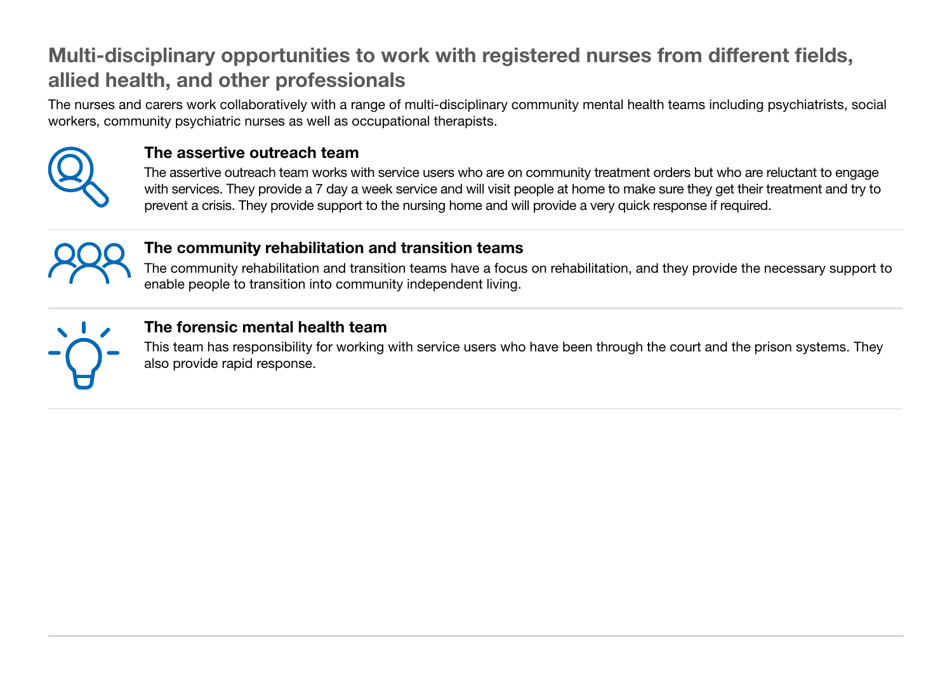# Multi-disciplinary opportunities to work with registered nurses from different fields, allied health, and other professionals

The nurses and carers work collaboratively with a range of multi-disciplinary community mental health teams including psychiatrists, social workers, community psychiatric nurses as well as occupational therapists.



# The assertive outreach team

The assertive outreach team works with service users who are on community treatment orders but who are reluctant to engage with services. They provide a 7 day a week service and will visit people at home to make sure they get their treatment and try to prevent a crisis. They provide support to the nursing home and will provide a very quick response if required.



# The community rehabilitation and transition teams

The community rehabilitation and transition teams have a focus on rehabilitation, and they provide the necessary support to enable people to transition into community independent living.



# The forensic mental health team

This team has responsibility for working with service users who have been through the court and the prison systems. They also provide rapid response.